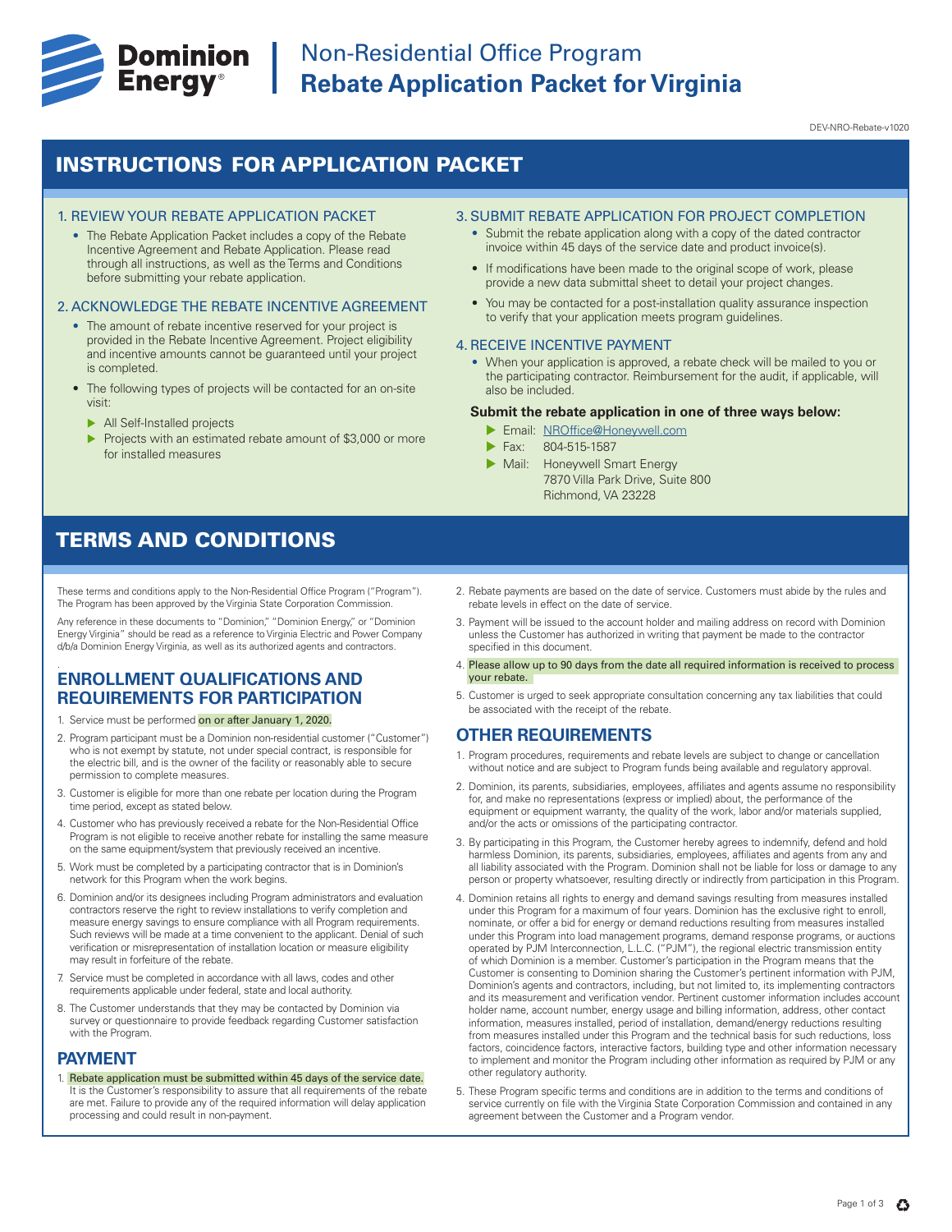

DEV-NRO-Rebate-v1020

# INSTRUCTIONS FOR APPLICATION PACKET

#### 1. REVIEW YOUR REBATE APPLICATION PACKET

• The Rebate Application Packet includes a copy of the Rebate Incentive Agreement and Rebate Application. Please read through all instructions, as well as the Terms and Conditions before submitting your rebate application.

### 2. ACKNOWLEDGE THE REBATE INCENTIVE AGREEMENT

- The amount of rebate incentive reserved for your project is provided in the Rebate Incentive Agreement. Project eligibility and incentive amounts cannot be guaranteed until your project is completed.
- The following types of projects will be contacted for an on-site visit:
	- $\blacktriangleright$  All Self-Installed projects
	- Projects with an estimated rebate amount of \$3,000 or more for installed measures

### 3. SUBMIT REBATE APPLICATION FOR PROJECT COMPLETION

- Submit the rebate application along with a copy of the dated contractor invoice within 45 days of the service date and product invoice(s).
- If modifications have been made to the original scope of work, please provide a new data submittal sheet to detail your project changes.
- You may be contacted for a post-installation quality assurance inspection to verify that your application meets program guidelines.

#### 4. RECEIVE INCENTIVE PAYMENT

• When your application is approved, a rebate check will be mailed to you or the participating contractor. Reimbursement for the audit, if applicable, will also be included.

#### **Submit the rebate application in one of three ways below:**

- **Email: NROffice@Honeywell.com**
- Fax: 804-515-1587
- Mail: Honeywell Smart Energy 7870 Villa Park Drive, Suite 800 Richmond, VA 23228

# TERMS AND CONDITIONS

These terms and conditions apply to the Non-Residential Office Program ("Program"). The Program has been approved by the Virginia State Corporation Commission.

Any reference in these documents to "Dominion," "Dominion Energy," or "Dominion Energy Virginia" should be read as a reference to Virginia Electric and Power Company d/b/a Dominion Energy Virginia, as well as its authorized agents and contractors.

#### **ENROLLMENT QUALIFICATIONS AND REQUIREMENTS FOR PARTICIPATION** .

- 1. Service must be performed on or after January 1, 2020.
- 2. Program participant must be a Dominion non-residential customer ("Customer") who is not exempt by statute, not under special contract, is responsible for the electric bill, and is the owner of the facility or reasonably able to secure permission to complete measures.
- 3. Customer is eligible for more than one rebate per location during the Program time period, except as stated below.
- 4. Customer who has previously received a rebate for the Non-Residential Office Program is not eligible to receive another rebate for installing the same measure on the same equipment/system that previously received an incentive.
- 5. Work must be completed by a participating contractor that is in Dominion's network for this Program when the work begins.
- 6. Dominion and/or its designees including Program administrators and evaluation contractors reserve the right to review installations to verify completion and measure energy savings to ensure compliance with all Program requirements. Such reviews will be made at a time convenient to the applicant. Denial of such verification or misrepresentation of installation location or measure eligibility may result in forfeiture of the rebate.
- 7. Service must be completed in accordance with all laws, codes and other requirements applicable under federal, state and local authority.
- 8. The Customer understands that they may be contacted by Dominion via survey or questionnaire to provide feedback regarding Customer satisfaction with the Program.

### **PAYMENT**

1. Rebate application must be submitted within 45 days of the service date. It is the Customer's responsibility to assure that all requirements of the rebate are met. Failure to provide any of the required information will delay application processing and could result in non-payment.

- 2. Rebate payments are based on the date of service. Customers must abide by the rules and rebate levels in effect on the date of service.
- 3. Payment will be issued to the account holder and mailing address on record with Dominion unless the Customer has authorized in writing that payment be made to the contractor specified in this document.
- 4. Please allow up to 90 days from the date all required information is received to process your rebate.
- 5. Customer is urged to seek appropriate consultation concerning any tax liabilities that could be associated with the receipt of the rebate.

## **OTHER REQUIREMENTS**

- 1. Program procedures, requirements and rebate levels are subject to change or cancellation without notice and are subject to Program funds being available and regulatory approval.
- 2. Dominion, its parents, subsidiaries, employees, affiliates and agents assume no responsibility for, and make no representations (express or implied) about, the performance of the equipment or equipment warranty, the quality of the work, labor and/or materials supplied, and/or the acts or omissions of the participating contractor.
- 3. By participating in this Program, the Customer hereby agrees to indemnify, defend and hold harmless Dominion, its parents, subsidiaries, employees, affiliates and agents from any and all liability associated with the Program. Dominion shall not be liable for loss or damage to any person or property whatsoever, resulting directly or indirectly from participation in this Program.
- 4. Dominion retains all rights to energy and demand savings resulting from measures installed under this Program for a maximum of four years. Dominion has the exclusive right to enroll, nominate, or offer a bid for energy or demand reductions resulting from measures installed under this Program into load management programs, demand response programs, or auctions operated by PJM Interconnection, L.L.C. ("PJM"), the regional electric transmission entity of which Dominion is a member. Customer's participation in the Program means that the Customer is consenting to Dominion sharing the Customer's pertinent information with PJM, Dominion's agents and contractors, including, but not limited to, its implementing contractors and its measurement and verification vendor. Pertinent customer information includes account holder name, account number, energy usage and billing information, address, other contact information, measures installed, period of installation, demand/energy reductions resulting from measures installed under this Program and the technical basis for such reductions, loss factors, coincidence factors, interactive factors, building type and other information necessary to implement and monitor the Program including other information as required by PJM or any other regulatory authority.
- 5. These Program specific terms and conditions are in addition to the terms and conditions of service currently on file with the Virginia State Corporation Commission and contained in any agreement between the Customer and a Program vendor.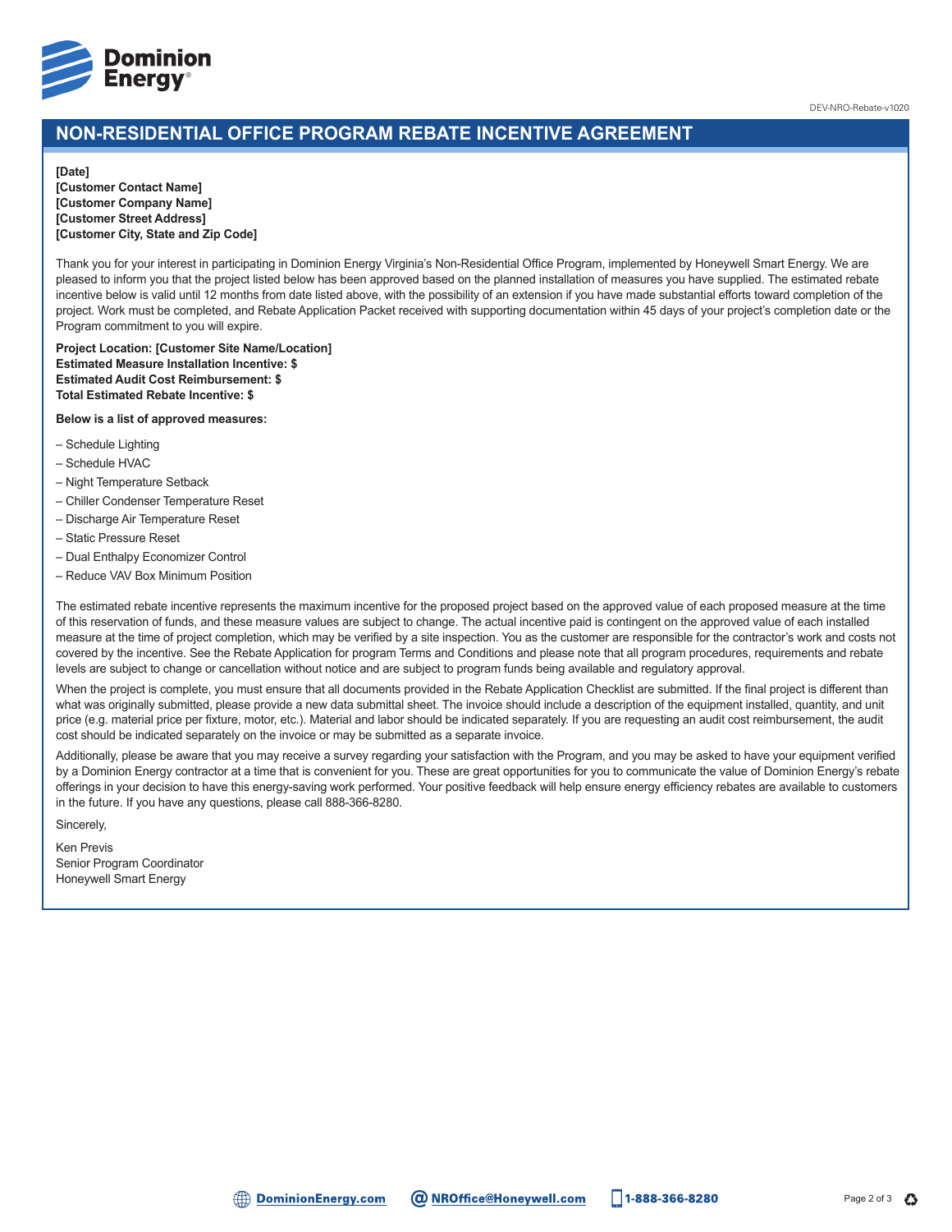

DEV-NRO-Rebate-v1020

# **NON-RESIDENTIAL OFFICE PROGRAM REBATE INCENTIVE AGREEMENT**

#### **[Date]**

**[Customer Contact Name] [Customer Company Name] [Customer Street Address] [Customer City, State and Zip Code]**

Thank you for your interest in participating in Dominion Energy Virginia's Non-Residential Office Program, implemented by Honeywell Smart Energy. We are pleased to inform you that the project listed below has been approved based on the planned installation of measures you have supplied. The estimated rebate incentive below is valid until 12 months from date listed above, with the possibility of an extension if you have made substantial efforts toward completion of the project. Work must be completed, and Rebate Application Packet received with supporting documentation within 45 days of your project's completion date or the Program commitment to you will expire.

**Project Location: [Customer Site Name/Location] Estimated Measure Installation Incentive: \$ Estimated Audit Cost Reimbursement: \$ Total Estimated Rebate Incentive: \$**

#### **Below is a list of approved measures:**

- Schedule Lighting
- Schedule HVAC
- Night Temperature Setback
- Chiller Condenser Temperature Reset
- Discharge Air Temperature Reset
- Static Pressure Reset
- Dual Enthalpy Economizer Control
- Reduce VAV Box Minimum Position

The estimated rebate incentive represents the maximum incentive for the proposed project based on the approved value of each proposed measure at the time of this reservation of funds, and these measure values are subject to change. The actual incentive paid is contingent on the approved value of each installed measure at the time of project completion, which may be verified by a site inspection. You as the customer are responsible for the contractor's work and costs not covered by the incentive. See the Rebate Application for program Terms and Conditions and please note that all program procedures, requirements and rebate levels are subject to change or cancellation without notice and are subject to program funds being available and regulatory approval.

When the project is complete, you must ensure that all documents provided in the Rebate Application Checklist are submitted. If the final project is different than what was originally submitted, please provide a new data submittal sheet. The invoice should include a description of the equipment installed, quantity, and unit price (e.g. material price per fixture, motor, etc.). Material and labor should be indicated separately. If you are requesting an audit cost reimbursement, the audit cost should be indicated separately on the invoice or may be submitted as a separate invoice.

Additionally, please be aware that you may receive a survey regarding your satisfaction with the Program, and you may be asked to have your equipment verified by a Dominion Energy contractor at a time that is convenient for you. These are great opportunities for you to communicate the value of Dominion Energy's rebate offerings in your decision to have this energy-saving work performed. Your positive feedback will help ensure energy efficiency rebates are available to customers in the future. If you have any questions, please call 888-366-8280.

Sincerely,

Ken Previs Senior Program Coordinator Honeywell Smart Energy